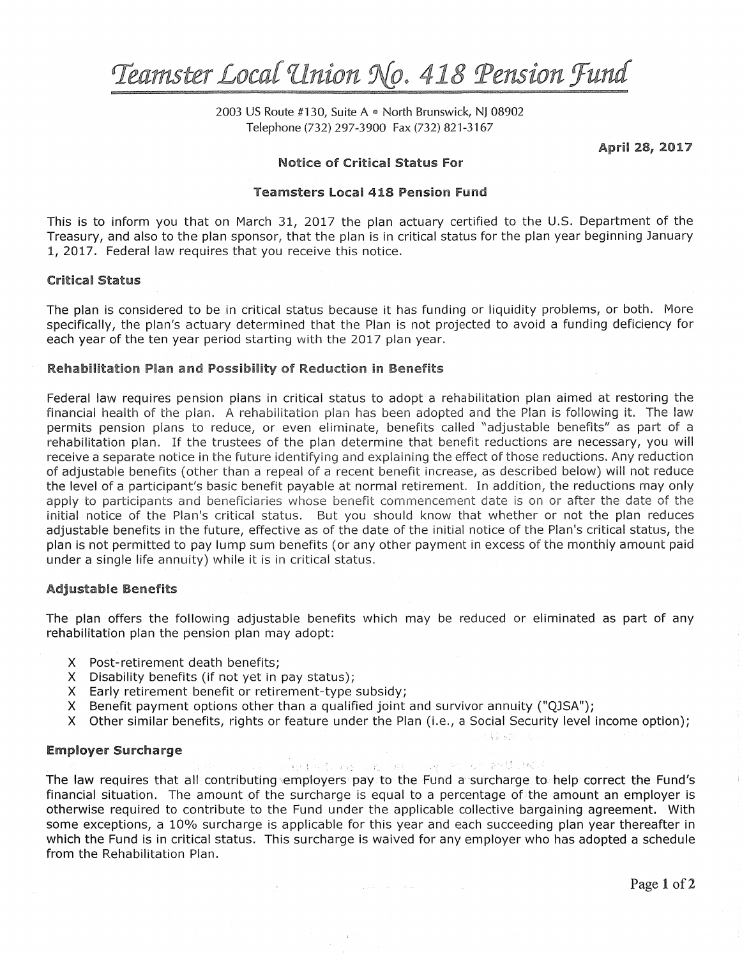# $Teamster Local Union No. 418 Person Fund$

2003 US Route #130, Suite A *e* North Brunswick, NJ 08902 Telephone (732) 297-3900 Fax (732) 821-3167

April 28, 2017

# Notice of Critical Status For

#### Teamsters Local 418 Pension Fund

This is to inform you that on March 31, 2017 the plan actuary certified to the U.S. Department of the Treasury, and also to the plan sponsor, that the plan is in critical status for the plan year beginning January 1, 2017. Federal law requires that you receive this notice.

### Critical Status

The plan is considered to be in critical status because it has funding or liquidity problems, or both. More specifically, the plan's actuary determined that the Plan is not projected to avoid a funding deficiency for each year of the ten year period starting with the 2017 plan year.

#### Rehabilitaticm Plan and Possibility of Reduction in Benefits

Federal law requires pension plans in critical status to adopt a rehabilitation plan aimed at restoring the financial health of the plan. A rehabilitation plan has been adopted and the Plan is following it. The law permits pension plans to reduce, or even eliminate, benefits called "adjustable benefits" as part of a rehabilitation plan. If the trustees of the plan determine that benefit reductions are necessary, you will receive a separate notice in the future identifying and explaining the effect of those reductions. Any reduction of adjustable benefits (other than a repeal of a recent benefit increase, as described below) will not reduce the level of a participant's basic benefit payable at normal retirement. In addition, the reductions may only apply to participants and beneficiaries whose benefit commencernent date is on or after the date of the initial notice of the Plan's critical status. But you should know that whether or not the plan reduces adjustable benefits in the future, effective as of the date of the initial notice of the Plan's critical status, the plan is not permitted to pay lump sum benefits (or any other payment in excess of the monthly amount paid under a single life annuity) while it is in critical status.

## Adjustable Benefits

The plan offers the following adjustable benefits which may be reduced or eliminated as part of any rehabilitation plan the pension plan may adopt:

- X Post-retirement death benefits;
- X Disability benefits (if not yet in pay status);
- X Early retirement benefit or retirement-type subsidy;
- X Benefit payment options other than a qualified joint and survivor annuity ("QJSA");
- X Other similar benefits, rights or feature under the Plan (i.e., a Social Security level income option);

## Employer Surcharge

The grid and the model was a more with the distribution of the state of

The law requires that all contributing employers pay to the Fund a surcharge to help correct the Fund's financial situation. The amount of the surcharge is equal to a percentage of the amount an employer is otherwise required to contribute to the Fund under the applicable collective bargaining agreement. With some exceptions, a 10% surcharge is applicable for this year and each succeeding plan year thereafter in which the Fund is in critical status. This surcharge is waived for any employer who has adopted a schedule from the Rehabilitation Plan.

and the second control of the second control of the second control of the second control of the second control of